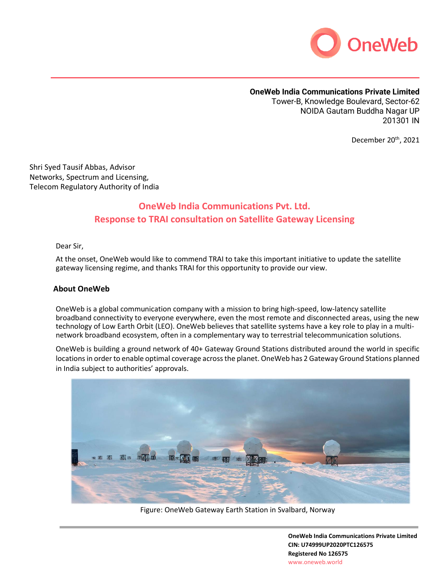

# **OneWeb India Communications Private Limited**

Tower-B, Knowledge Boulevard, Sector-62 NOIDA Gautam Buddha Nagar UP 201301 IN

December 20<sup>th</sup>, 2021

Shri Syed Tausif Abbas, Advisor Networks, Spectrum and Licensing, Telecom Regulatory Authority of India

# **OneWeb India Communications Pvt. Ltd. Response to TRAI consultation on Satellite Gateway Licensing**

Dear Sir,

At the onset, OneWeb would like to commend TRAI to take this important initiative to update the satellite gateway licensing regime, and thanks TRAI for this opportunity to provide our view.

#### **About OneWeb**

OneWeb is a global communication company with a mission to bring high-speed, low-latency satellite broadband connectivity to everyone everywhere, even the most remote and disconnected areas, using the new technology of Low Earth Orbit (LEO). OneWeb believes that satellite systems have a key role to play in a multinetwork broadband ecosystem, often in a complementary way to terrestrial telecommunication solutions.

OneWeb is building a ground network of 40+ Gateway Ground Stations distributed around the world in specific locations in order to enable optimal coverage across the planet. OneWeb has 2 Gateway Ground Stations planned in India subject to authorities' approvals.



Figure: OneWeb Gateway Earth Station in Svalbard, Norway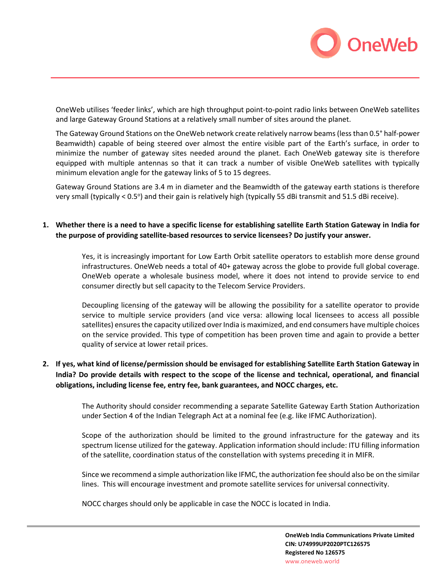

OneWeb utilises 'feeder links', which are high throughput point-to-point radio links between OneWeb satellites and large Gateway Ground Stations at a relatively small number of sites around the planet.

The Gateway Ground Stations on the OneWeb network create relatively narrow beams (less than 0.5° half-power Beamwidth) capable of being steered over almost the entire visible part of the Earth's surface, in order to minimize the number of gateway sites needed around the planet. Each OneWeb gateway site is therefore equipped with multiple antennas so that it can track a number of visible OneWeb satellites with typically minimum elevation angle for the gateway links of 5 to 15 degrees.

Gateway Ground Stations are 3.4 m in diameter and the Beamwidth of the gateway earth stations is therefore very small (typically < 0.5°) and their gain is relatively high (typically 55 dBi transmit and 51.5 dBi receive).

## **1. Whether there is a need to have a specific license for establishing satellite Earth Station Gateway in India for the purpose of providing satellite-based resources to service licensees? Do justify your answer.**

Yes, it is increasingly important for Low Earth Orbit satellite operators to establish more dense ground infrastructures. OneWeb needs a total of 40+ gateway across the globe to provide full global coverage. OneWeb operate a wholesale business model, where it does not intend to provide service to end consumer directly but sell capacity to the Telecom Service Providers.

Decoupling licensing of the gateway will be allowing the possibility for a satellite operator to provide service to multiple service providers (and vice versa: allowing local licensees to access all possible satellites) ensures the capacity utilized over India is maximized, and end consumers have multiple choices on the service provided. This type of competition has been proven time and again to provide a better quality of service at lower retail prices.

## **2. If yes, what kind of license/permission should be envisaged for establishing Satellite Earth Station Gateway in India? Do provide details with respect to the scope of the license and technical, operational, and financial obligations, including license fee, entry fee, bank guarantees, and NOCC charges, etc.**

The Authority should consider recommending a separate Satellite Gateway Earth Station Authorization under Section 4 of the Indian Telegraph Act at a nominal fee (e.g. like IFMC Authorization).

Scope of the authorization should be limited to the ground infrastructure for the gateway and its spectrum license utilized for the gateway. Application information should include: ITU filling information of the satellite, coordination status of the constellation with systems preceding it in MIFR.

Since we recommend a simple authorization like IFMC, the authorization fee should also be on the similar lines. This will encourage investment and promote satellite services for universal connectivity.

NOCC charges should only be applicable in case the NOCC is located in India.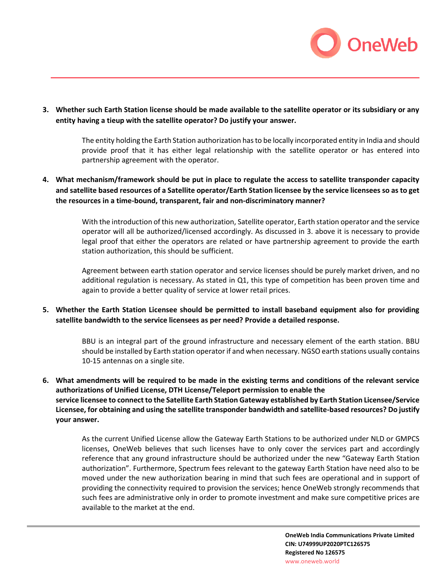

**3. Whether such Earth Station license should be made available to the satellite operator or its subsidiary or any entity having a tieup with the satellite operator? Do justify your answer.**

> The entity holding the Earth Station authorization has to be locally incorporated entity in India and should provide proof that it has either legal relationship with the satellite operator or has entered into partnership agreement with the operator.

**4. What mechanism/framework should be put in place to regulate the access to satellite transponder capacity and satellite based resources of a Satellite operator/Earth Station licensee by the service licensees so as to get the resources in a time-bound, transparent, fair and non-discriminatory manner?**

> With the introduction of this new authorization, Satellite operator, Earth station operator and the service operator will all be authorized/licensed accordingly. As discussed in 3. above it is necessary to provide legal proof that either the operators are related or have partnership agreement to provide the earth station authorization, this should be sufficient.

> Agreement between earth station operator and service licenses should be purely market driven, and no additional regulation is necessary. As stated in Q1, this type of competition has been proven time and again to provide a better quality of service at lower retail prices.

**5. Whether the Earth Station Licensee should be permitted to install baseband equipment also for providing satellite bandwidth to the service licensees as per need? Provide a detailed response.**

> BBU is an integral part of the ground infrastructure and necessary element of the earth station. BBU should be installed by Earth station operator if and when necessary. NGSO earth stations usually contains 10-15 antennas on a single site.

**6. What amendments will be required to be made in the existing terms and conditions of the relevant service authorizations of Unified License, DTH License/Teleport permission to enable the service licensee to connect to the Satellite Earth Station Gateway established by Earth Station Licensee/Service Licensee, for obtaining and using the satellite transponder bandwidth and satellite-based resources? Do justify your answer.**

> As the current Unified License allow the Gateway Earth Stations to be authorized under NLD or GMPCS licenses, OneWeb believes that such licenses have to only cover the services part and accordingly reference that any ground infrastructure should be authorized under the new "Gateway Earth Station authorization". Furthermore, Spectrum fees relevant to the gateway Earth Station have need also to be moved under the new authorization bearing in mind that such fees are operational and in support of providing the connectivity required to provision the services; hence OneWeb strongly recommends that such fees are administrative only in order to promote investment and make sure competitive prices are available to the market at the end.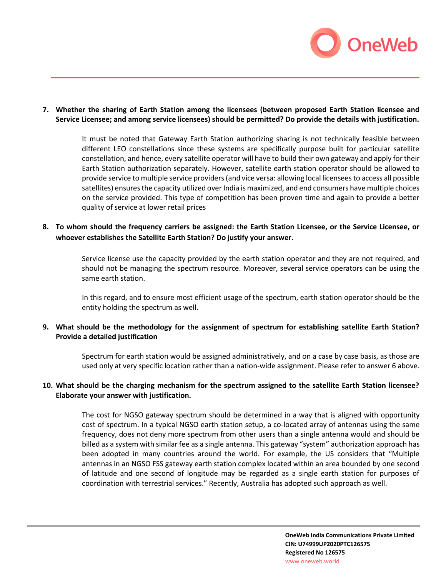

## **7. Whether the sharing of Earth Station among the licensees (between proposed Earth Station licensee and Service Licensee; and among service licensees) should be permitted? Do provide the details with justification.**

It must be noted that Gateway Earth Station authorizing sharing is not technically feasible between different LEO constellations since these systems are specifically purpose built for particular satellite constellation, and hence, every satellite operator will have to build their own gateway and apply for their Earth Station authorization separately. However, satellite earth station operator should be allowed to provide service to multiple service providers (and vice versa: allowing local licensees to access all possible satellites) ensures the capacity utilized over India is maximized, and end consumers have multiple choices on the service provided. This type of competition has been proven time and again to provide a better quality of service at lower retail prices

**8. To whom should the frequency carriers be assigned: the Earth Station Licensee, or the Service Licensee, or whoever establishes the Satellite Earth Station? Do justify your answer.**

> Service license use the capacity provided by the earth station operator and they are not required, and should not be managing the spectrum resource. Moreover, several service operators can be using the same earth station.

> In this regard, and to ensure most efficient usage of the spectrum, earth station operator should be the entity holding the spectrum as well.

## **9. What should be the methodology for the assignment of spectrum for establishing satellite Earth Station? Provide a detailed justification**

Spectrum for earth station would be assigned administratively, and on a case by case basis, as those are used only at very specific location rather than a nation-wide assignment. Please refer to answer 6 above.

## **10. What should be the charging mechanism for the spectrum assigned to the satellite Earth Station licensee? Elaborate your answer with justification.**

The cost for NGSO gateway spectrum should be determined in a way that is aligned with opportunity cost of spectrum. In a typical NGSO earth station setup, a co-located array of antennas using the same frequency, does not deny more spectrum from other users than a single antenna would and should be billed as a system with similar fee as a single antenna. This gateway "system" authorization approach has been adopted in many countries around the world. For example, the US considers that "Multiple antennas in an NGSO FSS gateway earth station complex located within an area bounded by one second of latitude and one second of longitude may be regarded as a single earth station for purposes of coordination with terrestrial services." Recently, Australia has adopted such approach as well.